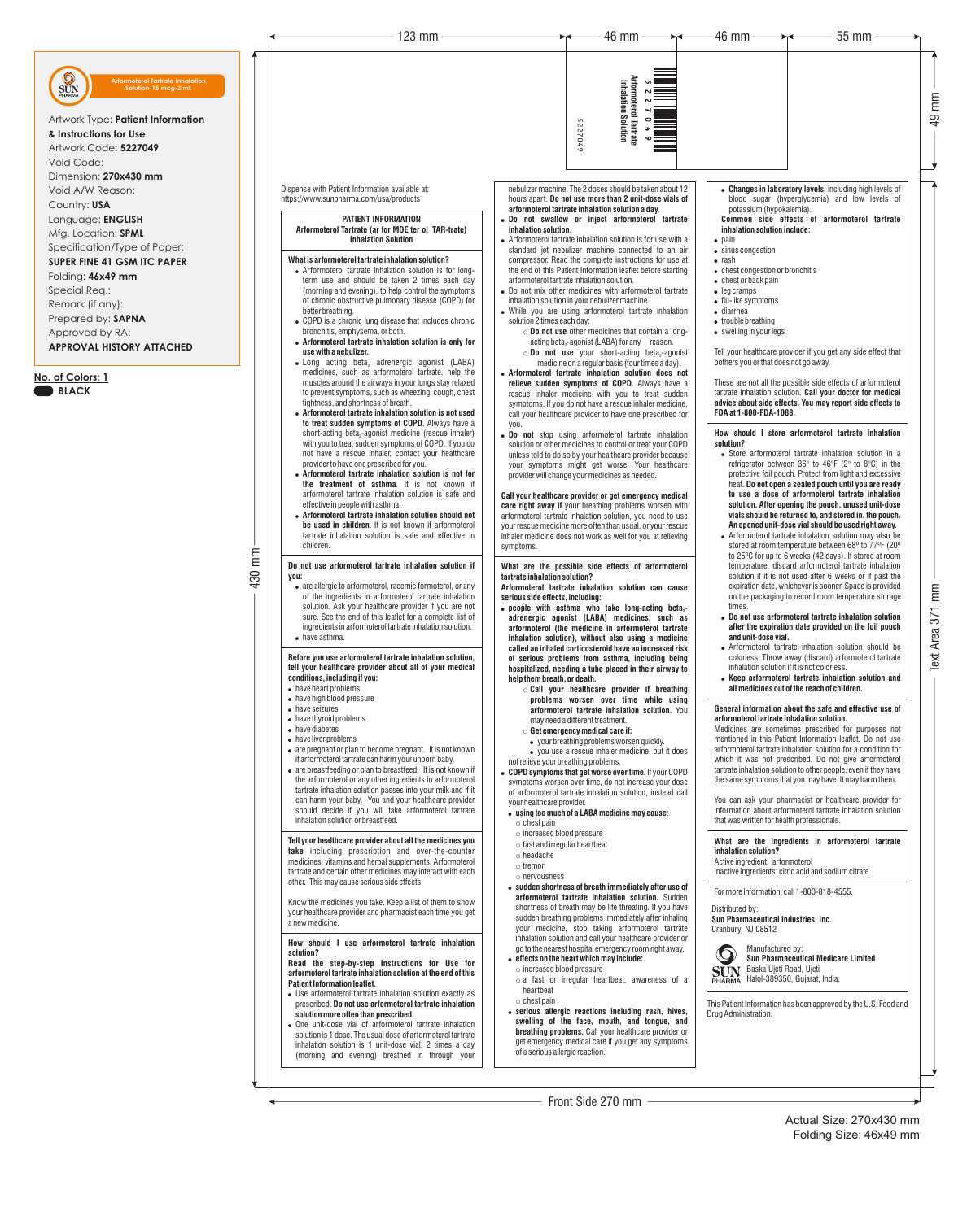# 430 mm

Actual Size: 270x430 mm Folding Size: 46x49 mm 49 mm

Dispense with Patient Information available at: https://www.sunpharma.com/usa/products

> **PATIENT INFORMATION Arformoterol Tartrate (ar for MOE ter ol TAR-trate) Inhalation Solution**

• Arformoterol tartrate inhalation solution is for longterm use and should be taken 2 times each day (morning and evening), to help control the symptoms of chronic obstructive pulmonary disease (COPD) for

• COPD is a chronic lung disease that includes chronic

**What is arformoterol tartrate inhalation solution?**

 $\bullet$  Long acting beta, adrenergic agonist (LABA) medicines, such as arformoterol tartrate, help the muscles around the airways in your lungs stay relaxed to prevent symptoms, such as wheezing, cough, chest

better breathing.

bronchitis, emphysema, or both.

! **Arformoterol tartrate inhalation solution is only for** 

**use with a nebulizer.**

**you:** • are allergic to arformoterol, racemic formoterol, or any of the ingredients in arformoterol tartrate inhalation solution. Ask your healthcare provider if you are not sure. See the end of this leaflet for a complete list of ingredients in arformoterol tartrate inhalation solution. • have asthma.

tightness, and shortness of breath.

! **Arformoterol tartrate inhalation solution is not used to treat sudden symptoms of COPD**. Always have a short-acting beta<sub>-</sub>-agonist medicine (rescue inhaler) with you to treat sudden symptoms of COPD. If you do not have a rescue inhaler, contact your healthcare

provider to have one prescribed for you.

! **Arformoterol tartrate inhalation solution is not for the treatment of asthma**. It is not known if arformoterol tartrate inhalation solution is safe and

effective in people with asthma.

! **Arformoterol tartrate inhalation solution should not be used in children**. It is not known if arformoterol tartrate inhalation solution is safe and effective in

children.

- have high blood pressure
- have seizures
- have thyroid problems
- have diabetes
- have liver problems
- are pregnant or plan to become pregnant. It is not known

**Do not use arformoterol tartrate inhalation solution if** 

#### **Before you use arformoterol tartrate inhalation solution, tell your healthcare provider about all of your medical conditions, including if you:**

• have heart problems

- ! **people with asthma who take long-acting beta -<sup>2</sup> adrenergic agonist (LABA) medicines, such as arformoterol (the medicine in arformoterol tartrate inhalation solution), without also using a medicine called an inhaled corticosteroid have an increased risk of serious problems from asthma, including being hospitalized, needing a tube placed in their airway to help them breath, or death.**
	- o **Call your healthcare provider if breathing problems worsen over time while using arformoterol tartrate inhalation solution.** You may need a different treatment.
	- o **Get emergency medical care if:**
	- your breathing problems worsen quickly. • you use a rescue inhaler medicine, but it does
	-
- ! **Changes in laboratory levels,** including high levels of blood sugar (hyperglycemia) and low levels of potassium (hypokalemia). **Common side effects of arformoterol tartrate**
	- **inhalation solution include:**
- $\bullet$  pain • sinus congestion
- $\bullet$  rash
- chest congestion or bronchitis
- $\bullet$  chest or back pain
- $\bullet$  leg cramps
- $\bullet$  flu-like symptoms
- diarrhea
- $\bullet$  trouble breathing
- $\bullet$  swelling in your legs

nebulizer machine. The 2 doses should be taken about 12 hours apart. **Do not use more than 2 unit-dose vials of arformoterol tartrate inhalation solution a day.**

- ! **Do not swallow or inject arformoterol tartrate inhalation solution**.
- Arformoterol tartrate inhalation solution is for use with a standard jet nebulizer machine connected to an air compressor. Read the complete instructions for use at the end of this Patient Information leaflet before starting arformoterol tartrate inhalation solution.
- Do not mix other medicines with arformoterol tartrate inhalation solution in your nebulizer machine.
- While you are using arformoterol tartrate inhalation solution 2 times each day:
	- o **Do not use** other medicines that contain a longacting beta<sub> $2$ </sub>-agonist (LABA) for any reason.  $\circ$  **Do not use** your short-acting beta<sub>2</sub>-agonist
- medicine on a regular basis (four times a day). ! **Arformoterol tartrate inhalation solution does not**
- **relieve sudden symptoms of COPD.** Always have a rescue inhaler medicine with you to treat sudden symptoms. If you do not have a rescue inhaler medicine, call your healthcare provider to have one prescribed for you.
- ! **Do not** stop using arformoterol tartrate inhalation solution or other medicines to control or treat your COPD unless told to do so by your healthcare provider because your symptoms might get worse. Your healthcare provider will change your medicines as needed.
- Store arformoterol tartrate inhalation solution in a refrigerator between 36° to 46°F (2° to 8°C) in the protective foil pouch. Protect from light and excessive heat. **Do not open a sealed pouch until you are ready to use a dose of arformoterol tartrate inhalation solution. After opening the pouch, unused unit-dose vials should be returned to, and stored in, the pouch. An opened unit-dose vial should be used right away.**
- Arformoterol tartrate inhalation solution may also be stored at room temperature between 68º to 77ºF (20º to 25ºC for up to 6 weeks (42 days). If stored at room temperature, discard arformoterol tartrate inhalation solution if it is not used after 6 weeks or if past the expiration date, whichever is sooner. Space is provided on the packaging to record room temperature storage times.
- ! **Do not use arformoterol tartrate inhalation solution after the expiration date provided on the foil pouch and unit-dose vial.**
- Arformoterol tartrate inhalation solution should be colorless. Throw away (discard) arformoterol tartrate inhalation solution if it is not colorless.
- ! **Keep arformoterol tartrate inhalation solution and all medicines out of the reach of children.**

| if arformoterol tartrate can harm your unborn baby.<br>• are breastfeeding or plan to breastfeed. It is not known if<br>the arformoterol or any other ingredients in arformoterol<br>tartrate inhalation solution passes into your milk and if it<br>can harm your baby. You and your healthcare provider<br>should decide if you will take arformoterol tartrate<br>inhalation solution or breastfeed.                                                                                                                                                                                                                         | not relieve your breathing problems.<br>• COPD symptoms that get worse over time. If your COPD<br>symptoms worsen over time, do not increase your dose<br>of arformoterol tartrate inhalation solution, instead call<br>your healthcare provider.<br>• using too much of a LABA medicine may cause:<br>$\circ$ chest pain                                                                                                                                                                                                                              | which it was not prescribed. Do not give arformoterol<br>tartrate inhalation solution to other people, even if they have<br>the same symptoms that you may have. It may harm them.<br>You can ask your pharmacist or healthcare provider for<br>information about arformoterol tartrate inhalation solution<br>that was written for health professionals. |  |
|---------------------------------------------------------------------------------------------------------------------------------------------------------------------------------------------------------------------------------------------------------------------------------------------------------------------------------------------------------------------------------------------------------------------------------------------------------------------------------------------------------------------------------------------------------------------------------------------------------------------------------|--------------------------------------------------------------------------------------------------------------------------------------------------------------------------------------------------------------------------------------------------------------------------------------------------------------------------------------------------------------------------------------------------------------------------------------------------------------------------------------------------------------------------------------------------------|-----------------------------------------------------------------------------------------------------------------------------------------------------------------------------------------------------------------------------------------------------------------------------------------------------------------------------------------------------------|--|
| Tell your healthcare provider about all the medicines you<br>take including prescription and over-the-counter<br>medicines, vitamins and herbal supplements. Arformoterol<br>tartrate and certain other medicines may interact with each<br>other. This may cause serious side effects.<br>Know the medicines you take. Keep a list of them to show<br>your healthcare provider and pharmacist each time you get<br>a new medicine.                                                                                                                                                                                             | $\circ$ increased blood pressure<br>$\circ$ fast and irregular heartbeat<br>$\circ$ headache<br>$\circ$ tremor<br>$\circ$ nervousness<br>• sudden shortness of breath immediately after use of<br>arformoterol tartrate inhalation solution. Sudden<br>shortness of breath may be life threating. If you have<br>sudden breathing problems immediately after inhaling<br>your medicine, stop taking arformoterol tartrate                                                                                                                              | What are the ingredients in arformoterol tartrate<br>inhalation solution?<br>Active ingredient: arformoterol<br>Inactive ingredients: citric acid and sodium citrate<br>For more information, call 1-800-818-4555.<br>Distributed by:<br>Sun Pharmaceutical Industries, Inc.<br>Cranbury, NJ 08512                                                        |  |
| How should I use arformoterol tartrate inhalation<br>solution?<br>Read the step-by-step Instructions for Use for<br>arformoterol tartrate inhalation solution at the end of this<br><b>Patient Information leaflet.</b><br>• Use arformoterol tartrate inhalation solution exactly as<br>prescribed. Do not use arformoterol tartrate inhalation<br>solution more often than prescribed.<br>• One unit-dose vial of arformoterol tartrate inhalation<br>solution is 1 dose. The usual dose of arformoterol tartrate<br>inhalation solution is 1 unit-dose vial, 2 times a day<br>(morning and evening) breathed in through your | inhalation solution and call your healthcare provider or<br>go to the nearest hospital emergency room right away.<br>• effects on the heart which may include:<br>$\circ$ increased blood pressure<br>$\circ$ a fast or irregular heartbeat, awareness of a<br>heartbeat<br>$\circ$ chest pain<br>• serious allergic reactions including rash, hives,<br>swelling of the face, mouth, and tongue, and<br>breathing problems. Call your healthcare provider or<br>get emergency medical care if you get any symptoms<br>of a serious allergic reaction. | Manufactured by:<br>$\mathbf{Q}$<br><b>Sun Pharmaceutical Medicare Limited</b><br>Baska Ujeti Road, Ujeti<br><b>SUN</b><br>PHARMA Halol-389350, Gujarat, India.<br>This Patient Information has been approved by the U.S. Food and<br>Drug Administration.                                                                                                |  |
|                                                                                                                                                                                                                                                                                                                                                                                                                                                                                                                                                                                                                                 | Front Side 270 mm $-$                                                                                                                                                                                                                                                                                                                                                                                                                                                                                                                                  |                                                                                                                                                                                                                                                                                                                                                           |  |

**Call your healthcare provider or get emergency medical care right away if** your breathing problems worsen with arformoterol tartrate inhalation solution, you need to use your rescue medicine more often than usual, or your rescue inhaler medicine does not work as well for you at relieving symptoms.

**What are the possible side effects of arformoterol tartrate inhalation solution?**

**Arformoterol tartrate inhalation solution can cause serious side effects, including:**

Tell your healthcare provider if you get any side effect that bothers you or that does not go away.

These are not all the possible side effects of arformoterol tartrate inhalation solution. **Call your doctor for medical advice about side effects. You may report side effects to FDA at 1-800-FDA-1088.**

**How should I store arformoterol tartrate inhalation solution?**

## **General information about the safe and effective use of arformoterol tartrate inhalation solution.**

Medicines are sometimes prescribed for purposes not mentioned in this Patient Information leaflet. Do not use arformoterol tartrate inhalation solution for a condition for

5227049

6702225

123 mm  $\longrightarrow$  46 mm  $\longrightarrow$  46 mm  $\longrightarrow$  46 mm  $\longrightarrow$  46 mm  $\longrightarrow$  55 mm

**Arformoterol Tartrate Inhalation Solution**

**kformoterol<br>Inhalation S** 

Solution

# Artwork Type: **Patient Information**

Void Code:

Dimension: **270x430 mm**

Void A/W Reason:

Country: **USA**

Language: **ENGLISH**

Mfg. Location: **SPML**

Specification/Type of Paper:



# **SUPER FINE 41 GSM ITC PAPER**

Folding: **46x49 mm**

Special Req.:

- Remark (if any):
- Prepared by: **SAPNA**

Approved by RA:

**APPROVAL HISTORY ATTACHED**

**Solution-15 mcg-2 mL**

## **No. of Colors: 1 BLACK**